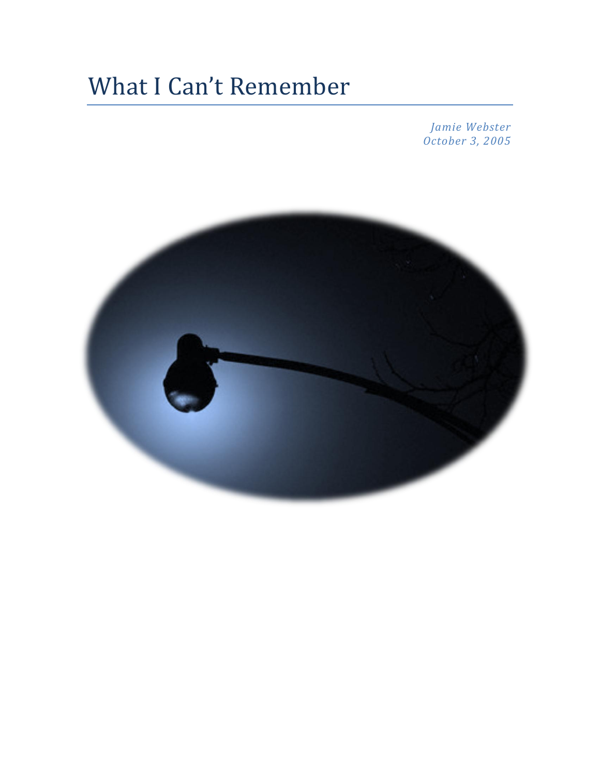# What I Can't Remember

*Jamie Webster October 3, 2005*

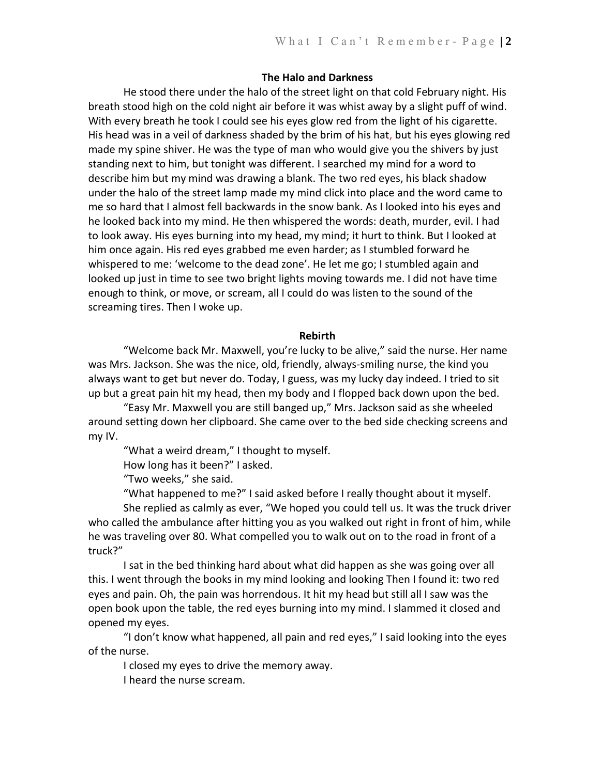# **The Halo and Darkness**

He stood there under the halo of the street light on that cold February night. His breath stood high on the cold night air before it was whist away by a slight puff of wind. With every breath he took I could see his eyes glow red from the light of his cigarette. His head was in a veil of darkness shaded by the brim of his hat, but his eyes glowing red made my spine shiver. He was the type of man who would give you the shivers by just standing next to him, but tonight was different. I searched my mind for a word to describe him but my mind was drawing a blank. The two red eyes, his black shadow under the halo of the street lamp made my mind click into place and the word came to me so hard that I almost fell backwards in the snow bank. As I looked into his eyes and he looked back into my mind. He then whispered the words: death, murder, evil. I had to look away. His eyes burning into my head, my mind; it hurt to think. But I looked at him once again. His red eyes grabbed me even harder; as I stumbled forward he whispered to me: 'welcome to the dead zone'. He let me go; I stumbled again and looked up just in time to see two bright lights moving towards me. I did not have time enough to think, or move, or scream, all I could do was listen to the sound of the screaming tires. Then I woke up.

#### **Rebirth**

"Welcome back Mr. Maxwell, you're lucky to be alive," said the nurse. Her name was Mrs. Jackson. She was the nice, old, friendly, always-smiling nurse, the kind you always want to get but never do. Today, I guess, was my lucky day indeed. I tried to sit up but a great pain hit my head, then my body and I flopped back down upon the bed.

"Easy Mr. Maxwell you are still banged up," Mrs. Jackson said as she wheeled around setting down her clipboard. She came over to the bed side checking screens and my IV.

"What a weird dream," I thought to myself.

How long has it been?" I asked.

"Two weeks," she said.

"What happened to me?" I said asked before I really thought about it myself.

She replied as calmly as ever, "We hoped you could tell us. It was the truck driver who called the ambulance after hitting you as you walked out right in front of him, while he was traveling over 80. What compelled you to walk out on to the road in front of a truck?"

I sat in the bed thinking hard about what did happen as she was going over all this. I went through the books in my mind looking and looking Then I found it: two red eyes and pain. Oh, the pain was horrendous. It hit my head but still all I saw was the open book upon the table, the red eyes burning into my mind. I slammed it closed and opened my eyes.

"I don't know what happened, all pain and red eyes," I said looking into the eyes of the nurse.

I closed my eyes to drive the memory away.

I heard the nurse scream.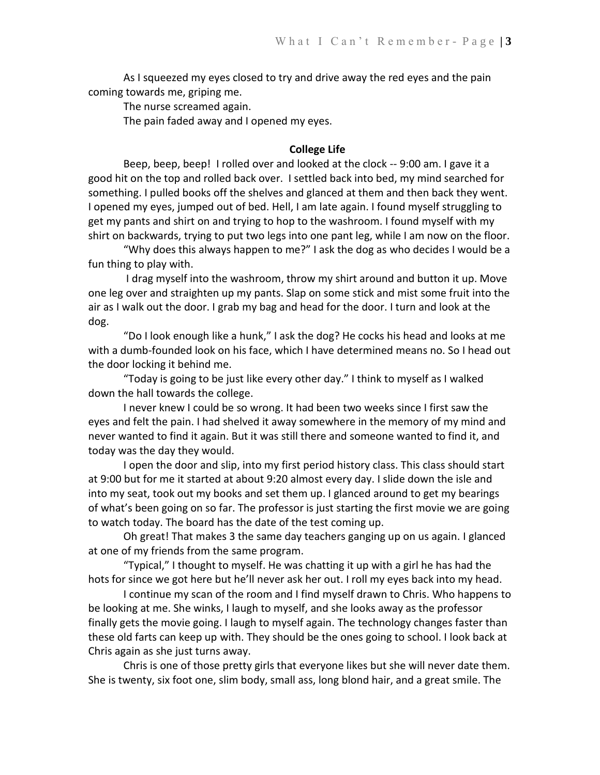As I squeezed my eyes closed to try and drive away the red eyes and the pain coming towards me, griping me.

The nurse screamed again.

The pain faded away and I opened my eyes.

# **College Life**

Beep, beep, beep! I rolled over and looked at the clock -- 9:00 am. I gave it a good hit on the top and rolled back over. I settled back into bed, my mind searched for something. I pulled books off the shelves and glanced at them and then back they went. I opened my eyes, jumped out of bed. Hell, I am late again. I found myself struggling to get my pants and shirt on and trying to hop to the washroom. I found myself with my shirt on backwards, trying to put two legs into one pant leg, while I am now on the floor.

"Why does this always happen to me?" I ask the dog as who decides I would be a fun thing to play with.

I drag myself into the washroom, throw my shirt around and button it up. Move one leg over and straighten up my pants. Slap on some stick and mist some fruit into the air as I walk out the door. I grab my bag and head for the door. I turn and look at the dog.

"Do I look enough like a hunk," I ask the dog? He cocks his head and looks at me with a dumb-founded look on his face, which I have determined means no. So I head out the door locking it behind me.

"Today is going to be just like every other day." I think to myself as I walked down the hall towards the college.

I never knew I could be so wrong. It had been two weeks since I first saw the eyes and felt the pain. I had shelved it away somewhere in the memory of my mind and never wanted to find it again. But it was still there and someone wanted to find it, and today was the day they would.

I open the door and slip, into my first period history class. This class should start at 9:00 but for me it started at about 9:20 almost every day. I slide down the isle and into my seat, took out my books and set them up. I glanced around to get my bearings of what's been going on so far. The professor is just starting the first movie we are going to watch today. The board has the date of the test coming up.

Oh great! That makes 3 the same day teachers ganging up on us again. I glanced at one of my friends from the same program.

"Typical," I thought to myself. He was chatting it up with a girl he has had the hots for since we got here but he'll never ask her out. I roll my eyes back into my head.

I continue my scan of the room and I find myself drawn to Chris. Who happens to be looking at me. She winks, I laugh to myself, and she looks away as the professor finally gets the movie going. I laugh to myself again. The technology changes faster than these old farts can keep up with. They should be the ones going to school. I look back at Chris again as she just turns away.

Chris is one of those pretty girls that everyone likes but she will never date them. She is twenty, six foot one, slim body, small ass, long blond hair, and a great smile. The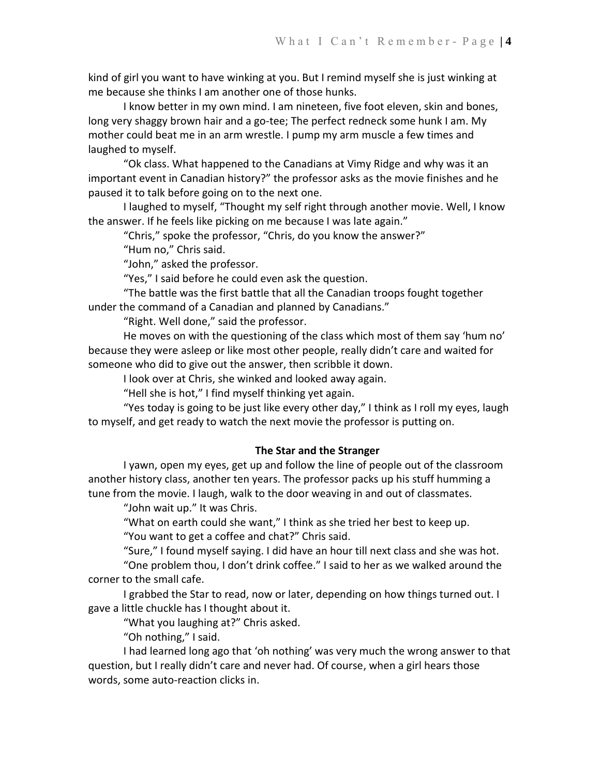kind of girl you want to have winking at you. But I remind myself she is just winking at me because she thinks I am another one of those hunks.

I know better in my own mind. I am nineteen, five foot eleven, skin and bones, long very shaggy brown hair and a go-tee; The perfect redneck some hunk I am. My mother could beat me in an arm wrestle. I pump my arm muscle a few times and laughed to myself.

"Ok class. What happened to the Canadians at Vimy Ridge and why was it an important event in Canadian history?" the professor asks as the movie finishes and he paused it to talk before going on to the next one.

I laughed to myself, "Thought my self right through another movie. Well, I know the answer. If he feels like picking on me because I was late again."

"Chris," spoke the professor, "Chris, do you know the answer?"

"Hum no," Chris said.

"John," asked the professor.

"Yes," I said before he could even ask the question.

"The battle was the first battle that all the Canadian troops fought together under the command of a Canadian and planned by Canadians."

"Right. Well done," said the professor.

He moves on with the questioning of the class which most of them say 'hum no' because they were asleep or like most other people, really didn't care and waited for someone who did to give out the answer, then scribble it down.

I look over at Chris, she winked and looked away again.

"Hell she is hot," I find myself thinking yet again.

"Yes today is going to be just like every other day," I think as I roll my eyes, laugh to myself, and get ready to watch the next movie the professor is putting on.

# **The Star and the Stranger**

I yawn, open my eyes, get up and follow the line of people out of the classroom another history class, another ten years. The professor packs up his stuff humming a tune from the movie. I laugh, walk to the door weaving in and out of classmates.

"John wait up." It was Chris.

"What on earth could she want," I think as she tried her best to keep up. "You want to get a coffee and chat?" Chris said.

"Sure," I found myself saying. I did have an hour till next class and she was hot. "One problem thou, I don't drink coffee." I said to her as we walked around the corner to the small cafe.

I grabbed the Star to read, now or later, depending on how things turned out. I gave a little chuckle has I thought about it.

"What you laughing at?" Chris asked.

"Oh nothing," I said.

I had learned long ago that 'oh nothing' was very much the wrong answer to that question, but I really didn't care and never had. Of course, when a girl hears those words, some auto-reaction clicks in.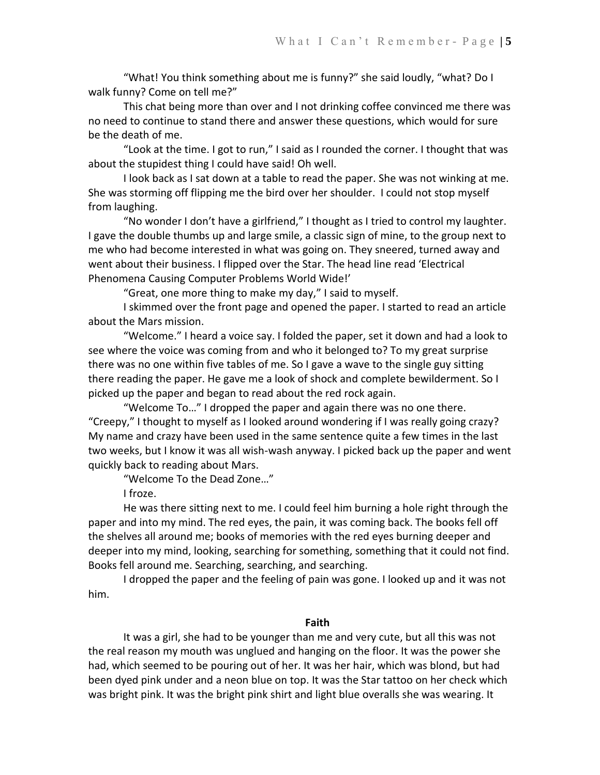"What! You think something about me is funny?" she said loudly, "what? Do I walk funny? Come on tell me?"

This chat being more than over and I not drinking coffee convinced me there was no need to continue to stand there and answer these questions, which would for sure be the death of me.

"Look at the time. I got to run," I said as I rounded the corner. I thought that was about the stupidest thing I could have said! Oh well.

I look back as I sat down at a table to read the paper. She was not winking at me. She was storming off flipping me the bird over her shoulder. I could not stop myself from laughing.

"No wonder I don't have a girlfriend," I thought as I tried to control my laughter. I gave the double thumbs up and large smile, a classic sign of mine, to the group next to me who had become interested in what was going on. They sneered, turned away and went about their business. I flipped over the Star. The head line read 'Electrical Phenomena Causing Computer Problems World Wide!'

"Great, one more thing to make my day," I said to myself.

I skimmed over the front page and opened the paper. I started to read an article about the Mars mission.

"Welcome." I heard a voice say. I folded the paper, set it down and had a look to see where the voice was coming from and who it belonged to? To my great surprise there was no one within five tables of me. So I gave a wave to the single guy sitting there reading the paper. He gave me a look of shock and complete bewilderment. So I picked up the paper and began to read about the red rock again.

"Welcome To…" I dropped the paper and again there was no one there. "Creepy," I thought to myself as I looked around wondering if I was really going crazy? My name and crazy have been used in the same sentence quite a few times in the last two weeks, but I know it was all wish-wash anyway. I picked back up the paper and went quickly back to reading about Mars.

"Welcome To the Dead Zone…"

I froze.

He was there sitting next to me. I could feel him burning a hole right through the paper and into my mind. The red eyes, the pain, it was coming back. The books fell off the shelves all around me; books of memories with the red eyes burning deeper and deeper into my mind, looking, searching for something, something that it could not find. Books fell around me. Searching, searching, and searching.

I dropped the paper and the feeling of pain was gone. I looked up and it was not him.

# **Faith**

It was a girl, she had to be younger than me and very cute, but all this was not the real reason my mouth was unglued and hanging on the floor. It was the power she had, which seemed to be pouring out of her. It was her hair, which was blond, but had been dyed pink under and a neon blue on top. It was the Star tattoo on her check which was bright pink. It was the bright pink shirt and light blue overalls she was wearing. It